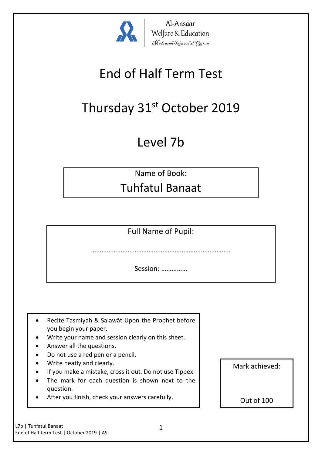

Al-Ansaar Welfare & Education<br>*Madrasah Tajweedul Guran* 

# End of Half Term Test

# Thursday 31<sup>st</sup> October 2019

# Level 7b

Name of Book:

Tuhfatul Banaat

Full Name of Pupil:

……………………………………………………

Session: ……………

- Recite Tasmiyah & Şalawāt Upon the Prophet before you begin your paper.
- Write your name and session clearly on this sheet.
- Answer all the questions.
- Do not use a red pen or a pencil.
- Write neatly and clearly.
- If you make a mistake, cross it out. Do not use Tippex.
- The mark for each question is shown next to the question.
- After you finish, check your answers carefully.

Mark achieved:

Out of 100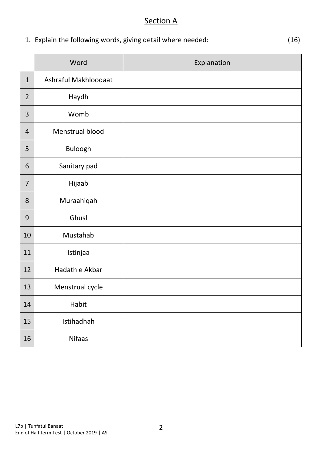# **Section A**

1. Explain the following words, giving detail where needed: (16)

|                | Word                 | Explanation |
|----------------|----------------------|-------------|
| $\mathbf{1}$   | Ashraful Makhlooqaat |             |
| $\overline{2}$ | Haydh                |             |
| $\overline{3}$ | Womb                 |             |
| $\overline{4}$ | Menstrual blood      |             |
| 5              | <b>Buloogh</b>       |             |
| 6              | Sanitary pad         |             |
| $\overline{7}$ | Hijaab               |             |
| 8              | Muraahiqah           |             |
| 9              | Ghusl                |             |
| 10             | Mustahab             |             |
| 11             | Istinjaa             |             |
| 12             | Hadath e Akbar       |             |
| 13             | Menstrual cycle      |             |
| 14             | Habit                |             |
| $15\,$         | Istihadhah           |             |
| 16             | Nifaas               |             |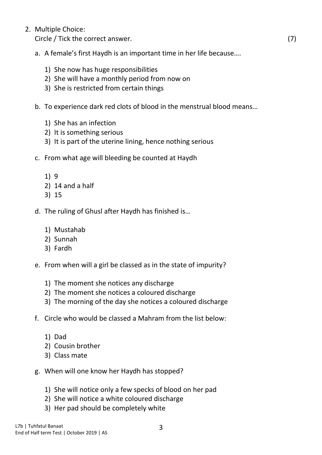#### 2. Multiple Choice:

Circle / Tick the correct answer. (7)

- a. A female's first Haydh is an important time in her life because….
	- 1) She now has huge responsibilities
	- 2) She will have a monthly period from now on
	- 3) She is restricted from certain things
- b. To experience dark red clots of blood in the menstrual blood means…
	- 1) She has an infection
	- 2) It is something serious
	- 3) It is part of the uterine lining, hence nothing serious
- c. From what age will bleeding be counted at Haydh
	- 1) 9
	- 2) 14 and a half
	- 3) 15
- d. The ruling of Ghusl after Haydh has finished is…
	- 1) Mustahab
	- 2) Sunnah
	- 3) Fardh
- e. From when will a girl be classed as in the state of impurity?
	- 1) The moment she notices any discharge
	- 2) The moment she notices a coloured discharge
	- 3) The morning of the day she notices a coloured discharge
- f. Circle who would be classed a Mahram from the list below:
	- 1) Dad
	- 2) Cousin brother
	- 3) Class mate
- g. When will one know her Haydh has stopped?
	- 1) She will notice only a few specks of blood on her pad
	- 2) She will notice a white coloured discharge
	- 3) Her pad should be completely white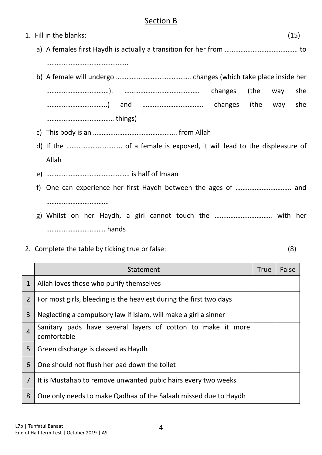## Section B

| 1. Fill in the blanks:                          | (15) |  |  |
|-------------------------------------------------|------|--|--|
|                                                 |      |  |  |
|                                                 |      |  |  |
|                                                 |      |  |  |
| (the<br>way                                     | she  |  |  |
| (the<br>way                                     | she  |  |  |
|                                                 |      |  |  |
|                                                 |      |  |  |
|                                                 |      |  |  |
| Allah                                           |      |  |  |
|                                                 |      |  |  |
| f                                               |      |  |  |
|                                                 |      |  |  |
|                                                 |      |  |  |
|                                                 |      |  |  |
| 2. Complete the table by ticking true or false: | (8)  |  |  |

|                | Statement                                                                  | True | False |
|----------------|----------------------------------------------------------------------------|------|-------|
| $\mathbf{1}$   | Allah loves those who purify themselves                                    |      |       |
| 2              | For most girls, bleeding is the heaviest during the first two days         |      |       |
| 3              | Neglecting a compulsory law if Islam, will make a girl a sinner            |      |       |
| $\overline{4}$ | Sanitary pads have several layers of cotton to make it more<br>comfortable |      |       |
| 5              | Green discharge is classed as Haydh                                        |      |       |
| 6              | One should not flush her pad down the toilet                               |      |       |
| 7              | It is Mustahab to remove unwanted pubic hairs every two weeks              |      |       |
| 8              | One only needs to make Qadhaa of the Salaah missed due to Haydh            |      |       |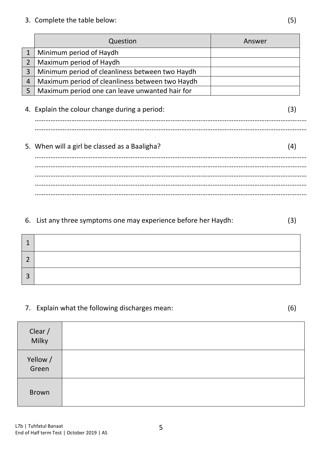#### 3. Complete the table below: (5)

|   | Question                                            | Answer |
|---|-----------------------------------------------------|--------|
|   | 1   Minimum period of Haydh                         |        |
|   | 2   Maximum period of Haydh                         |        |
|   | 3   Minimum period of cleanliness between two Haydh |        |
| 4 | Maximum period of cleanliness between two Haydh     |        |
|   | Maximum period one can leave unwanted hair for      |        |

#### 4. Explain the colour change during a period: (3) ………………………………………………………………………………………………………………………………………… …………………………………………………………………………………………………………………………………………

### 5. When will a girl be classed as a Baaligha? (4) ………………………………………………………………………………………………………………………………………… ………………………………………………………………………………………………………………………………………… ………………………………………………………………………………………………………………………………………… ………………………………………………………………………………………………………………………………………… …………………………………………………………………………………………………………………………………………

# 6. List any three symptoms one may experience before her Haydh: (3)

| -                              |  |
|--------------------------------|--|
| $\overline{\phantom{a}}$<br>r. |  |

#### 7. Explain what the following discharges mean: (6)

Clear / Milky Yellow / Green Brown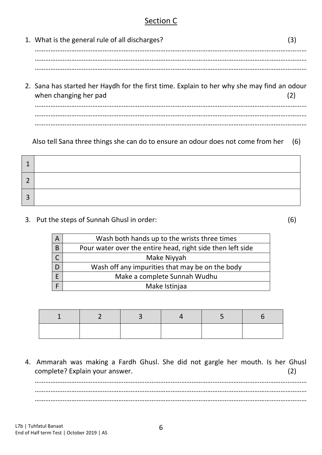## Section C

- 1. What is the general rule of all discharges? (3) ………………………………………………………………………………………………………………………………………… ………………………………………………………………………………………………………………………………………… …………………………………………………………………………………………………………………………………………
- 2. Sana has started her Haydh for the first time. Explain to her why she may find an odour when changing her pad (2)

………………………………………………………………………………………………………………………………………… …………………………………………………………………………………………………………………………………………

…………………………………………………………………………………………………………………………………………

Also tell Sana three things she can do to ensure an odour does not come from her (6)

| $\overline{\phantom{a}}$<br>r. |  |
|--------------------------------|--|

#### 3. Put the steps of Sunnah Ghusl in order: (6)

| A | Wash both hands up to the wrists three times               |
|---|------------------------------------------------------------|
| B | Pour water over the entire head, right side then left side |
|   | Make Niyyah                                                |
|   | Wash off any impurities that may be on the body            |
|   | Make a complete Sunnah Wudhu                               |
|   | Make Istinjaa                                              |

4. Ammarah was making a Fardh Ghusl. She did not gargle her mouth. Is her Ghusl complete? Explain your answer. (2)

………………………………………………………………………………………………………………………………………… ………………………………………………………………………………………………………………………………………… …………………………………………………………………………………………………………………………………………